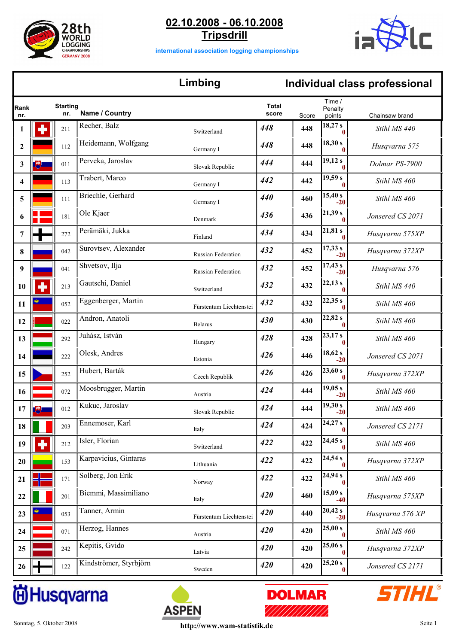



**international association logging championships**

## **Limbing Individual class professional**

| Rank             |     | <b>Starting</b> | Name / Country         |                         | <b>Total</b> |       | Time /<br>Penalty       |                  |
|------------------|-----|-----------------|------------------------|-------------------------|--------------|-------|-------------------------|------------------|
| nr.              |     | nr.             |                        |                         | score        | Score | points                  | Chainsaw brand   |
| 1                |     | 211             | Recher, Balz           | Switzerland             | 448          | 448   | 18,27 s<br>$\mathbf{0}$ | Stihl MS 440     |
| $\boldsymbol{2}$ |     | 112             | Heidemann, Wolfgang    | Germany I               | 448          | 448   | 18,30 s<br>$\mathbf{0}$ | Husqvarna 575    |
| 3                | 博   | 011             | Perveka, Jaroslav      | Slovak Republic         | 444          | 444   | 19,12 s<br>$\mathbf{0}$ | Dolmar PS-7900   |
| 4                |     | 113             | Trabert, Marco         | Germany I               | 442          | 442   | 19,59 s<br>$\mathbf{0}$ | Stihl MS 460     |
| 5                |     | 111             | Briechle, Gerhard      | Germany I               | 440          | 460   | 15,40 s<br>$-20$        | Stihl MS 460     |
| 6                |     | 181             | Ole Kjaer              | Denmark                 | 436          | 436   | 21,39s<br>$\mathbf{0}$  | Jonsered CS 2071 |
| 7                |     | 272             | Perämäki, Jukka        | Finland                 | 434          | 434   | 21,81 s<br>$\mathbf{0}$ | Husqvarna 575XP  |
| 8                |     | 042             | Surovtsev, Alexander   | Russian Federation      | 432          | 452   | 17,33 s<br>$-20$        | Husqvarna 372XP  |
| 9                |     | 041             | Shvetsov, Ilja         | Russian Federation      | 432          | 452   | 17,43 s<br>$-20$        | Husqvarna 576    |
| 10               |     | 213             | Gautschi, Daniel       | Switzerland             | 432          | 432   | 22,13s<br>$\mathbf{0}$  | Stihl MS 440     |
| 11               | وفي | 052             | Eggenberger, Martin    | Fürstentum Liechtenstei | 432          | 432   | 22,35s<br>$\mathbf{0}$  | Stihl MS 460     |
| 12               |     | 022             | Andron, Anatoli        | <b>Belarus</b>          | 430          | 430   | 22,82s<br>$\mathbf{0}$  | Stihl MS 460     |
| 13               |     | 292             | Juhász, István         | Hungary                 | 428          | 428   | 23,17 s<br>$\mathbf{0}$ | Stihl MS 460     |
| 14               |     | 222             | Olesk, Andres          | Estonia                 | 426          | 446   | 18,62 s<br>$-20$        | Jonsered CS 2071 |
| 15               |     | 252             | Hubert, Barták         | Czech Republik          | 426          | 426   | 23,60 s<br>$\mathbf{0}$ | Husqvarna 372XP  |
| 16               |     | 072             | Moosbrugger, Martin    | Austria                 | 424          | 444   | 19,05 s<br>$-20$        | Stihl MS 460     |
| 17               | 博   | 012             | Kukuc, Jaroslav        | Slovak Republic         | 424          | 444   | 19,30 s<br>$-20$        | Stihl MS 460     |
| 18               |     | 203             | Ennemoser, Karl        | Italy                   | 424          | 424   | 24,27s<br>$\bf{0}$      | Jonsered CS 2171 |
| 19               |     | 212             | Isler, Florian         | Switzerland             | 422          | 422   | 24,45 s<br>$\mathbf{0}$ | Stihl MS 460     |
| 20               |     | 153             | Karpavicius, Gintaras  | Lithuania               | 422          | 422   | 24,54 s<br>$\bf{0}$     | Husqvarna 372XP  |
| 21               |     | 171             | Solberg, Jon Erik      | Norway                  | 422          | 422   | 24,94 s<br>$\mathbf{0}$ | Stihl MS 460     |
| 22               |     | 201             | Biemmi, Massimiliano   | Italy                   | 420          | 460   | 15,09 s<br>$-40$        | Husqvarna 575XP  |
| 23               |     | 053             | Tanner, Armin          | Fürstentum Liechtenstei | 420          | 440   | 20,42 s<br>$-20$        | Husqvarna 576 XP |
| 24               |     | 071             | Herzog, Hannes         | Austria                 | 420          | 420   | 25,00 s<br>$\bf{0}$     | Stihl MS 460     |
| 25               |     | 242             | Kepitis, Gvido         | Latvia                  | 420          | 420   | 25,06s<br>$\bf{0}$      | Husqvarna 372XP  |
| 26               |     | 122             | Kindströmer, Styrbjörn | Sweden                  | 420          | 420   | 25,20 s<br>$\bf{0}$     | Jonsered CS 2171 |

# **尚Husqvarna**



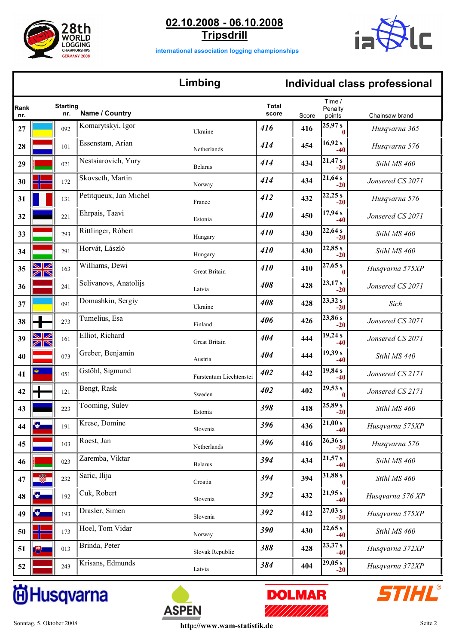



**international association logging championships**

### **Limbing Individual class professional**

| Rank<br>nr. |           | <b>Starting</b><br>nr. | Name / Country         |                         | <b>Total</b><br>score | Score | Time /<br>Penalty<br>points | Chainsaw brand   |
|-------------|-----------|------------------------|------------------------|-------------------------|-----------------------|-------|-----------------------------|------------------|
| 27          |           | 092                    | Komarytskyi, Igor      | Ukraine                 | 416                   | 416   | 25,97 s<br>0                | Husqvarna 365    |
| 28          |           | 101                    | Essenstam, Arian       | Netherlands             | 414                   | 454   | 16,92 s<br>$-40$            | Husqvarna 576    |
| 29          |           | 021                    | Nestsiarovich, Yury    | <b>Belarus</b>          | 414                   | 434   | 21,47s<br>$-20$             | Stihl MS 460     |
| 30          |           | 172                    | Skovseth, Martin       | Norway                  | 414                   | 434   | 21,64s<br>$-20$             | Jonsered CS 2071 |
| 31          |           | 131                    | Petitqueux, Jan Michel | France                  | 412                   | 432   | 22,25s<br>$-20$             | Husqvarna 576    |
| 32          |           | 221                    | Ehrpais, Taavi         | Estonia                 | 410                   | 450   | 17,94 s<br>$-40$            | Jonsered CS 2071 |
| 33          |           | 293                    | Rittlinger, Róbert     | Hungary                 | 410                   | 430   | 22,64 s<br>$-20$            | Stihl MS 460     |
| 34          |           | 291                    | Horvát, László         | Hungary                 | 410                   | 430   | 22,85 s<br>$-20$            | Stihl MS 460     |
| 35          | ZR        | 163                    | Williams, Dewi         | Great Britain           | 410                   | 410   | 27,65 s<br>$\bf{0}$         | Husqvarna 575XP  |
| 36          |           | 241                    | Selivanovs, Anatolijs  | Latvia                  | 408                   | 428   | 23,17 s<br>$-20$            | Jonsered CS 2071 |
| 37          |           | 091                    | Domashkin, Sergiy      | Ukraine                 | 408                   | 428   | 23,32 s<br>$-20$            | Sich             |
| 38          |           | 273                    | Tumelius, Esa          | Finland                 | 406                   | 426   | 23,86 s<br>$-20$            | Jonsered CS 2071 |
| 39          | <b>SK</b> | 161                    | Elliot, Richard        | <b>Great Britain</b>    | 404                   | 444   | 19,24 s<br>$-40$            | Jonsered CS 2071 |
| 40          |           | 073                    | Greber, Benjamin       | Austria                 | 404                   | 444   | 19,39 s<br>$-40$            | Stihl MS 440     |
| 41          |           | 051                    | Gstöhl, Sigmund        | Fürstentum Liechtenstei | 402                   | 442   | 19,84s<br>-40               | Jonsered CS 2171 |
| 42          |           | 121                    | Bengt, Rask            | Sweden                  | 402                   | 402   | 29,53 s<br>$\bf{0}$         | Jonsered CS 2171 |
| 43          |           | 223                    | Tooming, Sulev         | Estonia                 | 398                   | 418   | 25,89s<br>$-20$             | Stihl MS 460     |
| 44          |           | 191                    | Krese, Domine          | Slovenia                | 396                   | 436   | 21,00 s<br>-40              | Husqvarna 575XP  |
| 45          |           | 103                    | Roest, Jan             | Netherlands             | 396                   | 416   | 26,36 s<br>$-20$            | Husqvarna 576    |
| 46          |           | 023                    | Zaremba, Viktar        | <b>Belarus</b>          | 394                   | 434   | 21,57 s<br>$-40$            | Stihl MS 460     |
| 47          |           | 232                    | Saric, Ilija           | Croatia                 | 394                   | 394   | 31,88 s<br>$\bf{0}$         | Stihl MS 460     |
| 48          |           | 192                    | Cuk, Robert            | Slovenia                | 392                   | 432   | 21,95 s<br>$-40$            | Husqvarna 576 XP |
| 49          |           | 193                    | Drasler, Simen         | Slovenia                | 392                   | 412   | 27,03 s<br>$-20$            | Husqvarna 575XP  |
| 50          |           | 173                    | Hoel, Tom Vidar        | Norway                  | 390                   | 430   | 22,65 s<br>$-40$            | Stihl MS 460     |
| 51          | 博         | 013                    | Brinda, Peter          | Slovak Republic         | 388                   | 428   | 23,37 s<br>$-40$            | Husqvarna 372XP  |
| 52          |           | 243                    | Krisans, Edmunds       | Latvia                  | 384                   | 404   | 29,05 s<br>$-20$            | Husqvarna 372XP  |

# **尚Husqvarna**



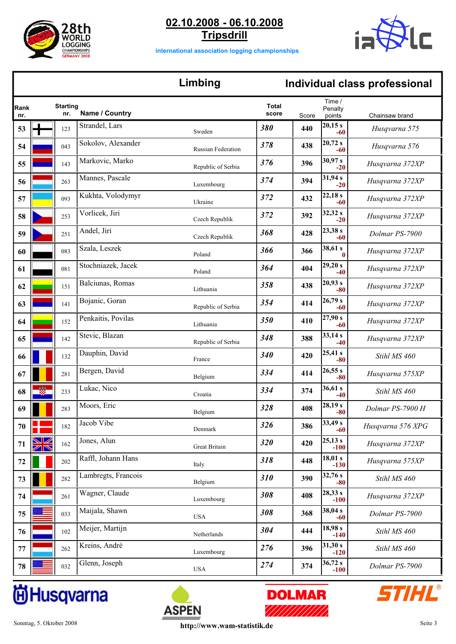



**international association logging championships**

## **Limbing Individual class professional**

| Rank<br>nr. | <b>Starting</b><br>nr. | Name / Country      |                           | <b>Total</b><br>score | Score | Time /<br>Penalty<br>points | Chainsaw brand    |
|-------------|------------------------|---------------------|---------------------------|-----------------------|-------|-----------------------------|-------------------|
| 53          | 123                    | Strandel, Lars      | Sweden                    | 380                   | 440   | 20,15 s<br>-60              | Husqvarna 575     |
| 54          | 043                    | Sokolov, Alexander  | <b>Russian Federation</b> | 378                   | 438   | 20,72 s<br>-60              | Husqvarna 576     |
| 55          | 143                    | Markovic, Marko     | Republic of Serbia        | 376                   | 396   | 30,97 s<br>$-20$            | Husqvarna 372XP   |
| 56          | 263                    | Mannes, Pascale     | Luxembourg                | 374                   | 394   | 31,94 s<br>$-20$            | Husqvarna 372XP   |
| 57          | 093                    | Kukhta, Volodymyr   | Ukraine                   | 372                   | 432   | 22,18s<br>$-60$             | Husqvarna 372XP   |
| 58          | 253                    | Vorlicek, Jiri      | Czech Republik            | 372                   | 392   | 32,32 s<br>$-20$            | Husqvarna 372XP   |
| 59          | 251                    | Andel, Jiri         | Czech Republik            | 368                   | 428   | 23,38 s<br>$-60$            | Dolmar PS-7900    |
| 60          | 083                    | Szala, Leszek       | Poland                    | 366                   | 366   | 38,61 s<br>$\bf{0}$         | Husqvarna 372XP   |
| 61          | 081                    | Stochniazek, Jacek  | Poland                    | 364                   | 404   | 29,20 s<br>$-40$            | Husqvarna 372XP   |
| 62          | 151                    | Balciunas, Romas    | Lithuania                 | 358                   | 438   | 20,93 s<br>-80              | Husqvarna 372XP   |
| 63          | 141                    | Bojanic, Goran      | Republic of Serbia        | 354                   | 414   | 26,79 s<br>$-60$            | Husqvarna 372XP   |
| 64          | 152                    | Penkaitis, Povilas  | Lithuania                 | 350                   | 410   | 27,90 s<br>-60              | Husqvarna 372XP   |
| 65          | 142                    | Stevic, Blazan      | Republic of Serbia        | 348                   | 388   | 33,14 s<br>-40              | Husqvarna 372XP   |
| 66          | 132                    | Dauphin, David      | France                    | 340                   | 420   | 25,41 s<br>$-80$            | Stihl MS 460      |
| 67          | 281                    | Bergen, David       | Belgium                   | 334                   | 414   | 26,55 s<br>$-80$            | Husqvarna 575XP   |
| 68          | 233                    | Lukac, Nico         | Croatia                   | 334                   | 374   | 36,61 s<br>$-40$            | Stihl MS 460      |
| 69          | 283                    | Moors, Eric         | Belgium                   | 328                   | 408   | 28,19 s<br>$-80$            | Dolmar PS-7900 H  |
| 70          | 182                    | Jacob Vibe          | Denmark                   | 326                   | 386   | 33,49 s<br>-60              | Husqvarna 576 XPG |
| 71          | 162                    | Jones, Alun         | Great Britain             | 320                   | 420   | 25,13 s<br>$-100$           | Husqvarna 372XP   |
| 72          | 202                    | Raffl, Johann Hans  | Italy                     | 318                   | 448   | 18,01 s<br>$-130$           | Husqvarna 575XP   |
| 73          | 282                    | Lambregts, Francois | Belgium                   | 310                   | 390   | 32,76s<br>$-80$             | Stihl MS 460      |
| 74          | 261                    | Wagner, Claude      | Luxembourg                | 308                   | 408   | 28,33 s<br>$-100$           | Husqvarna 372XP   |
| 75          | 033                    | Maijala, Shawn      | <b>USA</b>                | 308                   | 368   | 38,04 s<br>$-60$            | Dolmar PS-7900    |
| 76          | 102                    | Meijer, Martijn     | Netherlands               | 304                   | 444   | 18,98 s<br>$-140$           | Stihl MS 460      |
| 77          | 262                    | Kreins, André       | Luxembourg                | 276                   | 396   | 31,30 s<br>$-120$           | Stihl MS 460      |
| 78          | 032                    | Glenn, Joseph       | <b>USA</b>                | 274                   | 374   | 36,72 s<br>$-100$           | Dolmar PS-7900    |





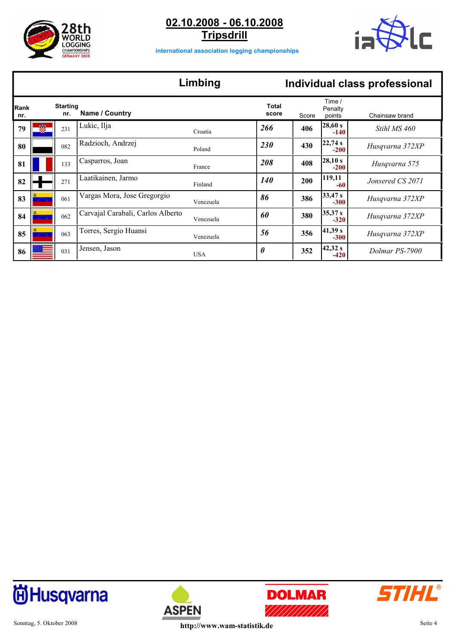



**international association logging championships**

#### **Limbing Individual class professional**

|             |          |                        |                                   | ешкинд     |                |       |                             | <b>IIIUIVIUUAI GEDD PIULESSIUIIAI</b> |
|-------------|----------|------------------------|-----------------------------------|------------|----------------|-------|-----------------------------|---------------------------------------|
| Rank<br>nr. |          | <b>Starting</b><br>nr. | Name / Country                    |            | Total<br>score | Score | Time /<br>Penalty<br>points | Chainsaw brand                        |
| 79          |          | 231                    | Lukic, Ilja                       | Croatia    | 266            | 406   | 28,60 s<br>$-140$           | Stihl MS 460                          |
| 80          |          | 082                    | Radzioch, Andrzej                 | Poland     | 230            | 430   | 22,74s<br>$-200$            | Husqvarna 372XP                       |
| 81          |          | 133                    | Casparros, Joan                   | France     | 208            | 408   | 28,10 s<br>$-200$           | Husqvarna 575                         |
| 82          |          | 271                    | Laatikainen, Jarmo                | Finland    | <b>140</b>     | 200   | 119,11<br>-60               | Jonsered CS 2071                      |
| 83          | an ing   | 061                    | Vargas Mora, Jose Gregorgio       | Venezuela  | 86             | 386   | 33,47 s<br>$-300$           | Husqvarna 372XP                       |
| 84          |          | 062                    | Carvajal Carabali, Carlos Alberto | Venezuela  | 60             | 380   | 35,37 s<br>$-320$           | Husqvarna 372XP                       |
| 85          | بالأنافي | 063                    | Torres, Sergio Huansi             | Venezuela  | 56             | 356   | 41,39s <br>$-300$           | Husqvarna 372XP                       |
| 86          |          | 031                    | Jensen, Jason                     | <b>USA</b> | 0              | 352   | 42,32 <br>$-420$            | Dolmar PS-7900                        |